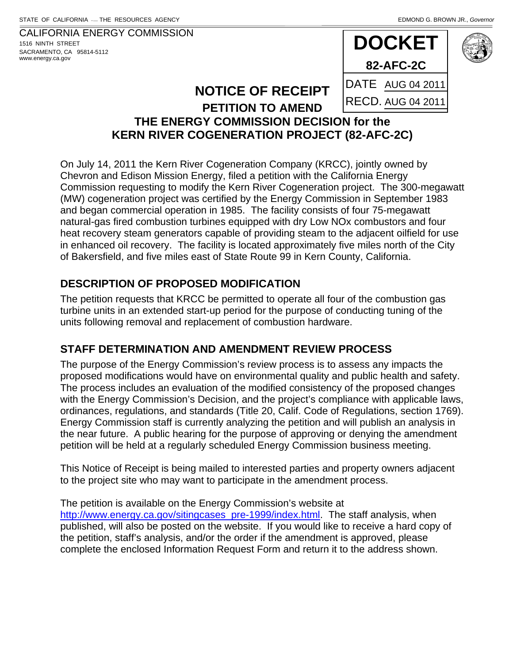CALIFORNIA ENERGY COMMISSION 1516 NINTH STREET SACRAMENTO, CA 95814-5112 www.energy.ca.gov



## **NOTICE OF RECEIPT**

#### **PETITION TO AMEND THE ENERGY COMMISSION DECISION for the KERN RIVER COGENERATION PROJECT (82-AFC-2C)**

On July 14, 2011 the Kern River Cogeneration Company (KRCC), jointly owned by Chevron and Edison Mission Energy, filed a petition with the California Energy Commission requesting to modify the Kern River Cogeneration project. The 300-megawatt (MW) cogeneration project was certified by the Energy Commission in September 1983 and began commercial operation in 1985. The facility consists of four 75-megawatt natural-gas fired combustion turbines equipped with dry Low NOx combustors and four heat recovery steam generators capable of providing steam to the adjacent oilfield for use in enhanced oil recovery. The facility is located approximately five miles north of the City of Bakersfield, and five miles east of State Route 99 in Kern County, California.

## **DESCRIPTION OF PROPOSED MODIFICATION**

The petition requests that KRCC be permitted to operate all four of the combustion gas turbine units in an extended start-up period for the purpose of conducting tuning of the units following removal and replacement of combustion hardware.

## **STAFF DETERMINATION AND AMENDMENT REVIEW PROCESS**

The purpose of the Energy Commission's review process is to assess any impacts the proposed modifications would have on environmental quality and public health and safety. The process includes an evaluation of the modified consistency of the proposed changes with the Energy Commission's Decision, and the project's compliance with applicable laws, ordinances, regulations, and standards (Title 20, Calif. Code of Regulations, section 1769). Energy Commission staff is currently analyzing the petition and will publish an analysis in the near future. A public hearing for the purpose of approving or denying the amendment petition will be held at a regularly scheduled Energy Commission business meeting.

This Notice of Receipt is being mailed to interested parties and property owners adjacent to the project site who may want to participate in the amendment process.

The petition is available on the Energy Commission's website at http://www.energy.ca.gov/sitingcases\_pre-1999/index.html. The staff analysis, when published, will also be posted on the website. If you would like to receive a hard copy of the petition, staff's analysis, and/or the order if the amendment is approved, please complete the enclosed Information Request Form and return it to the address shown.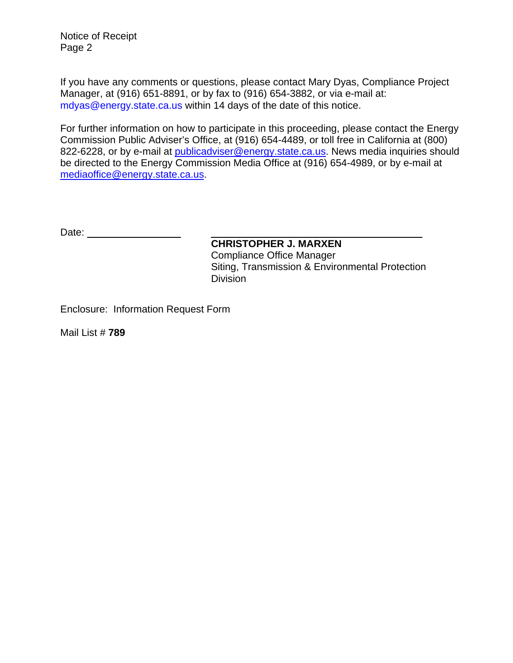Notice of Receipt Page 2

If you have any comments or questions, please contact Mary Dyas, Compliance Project Manager, at (916) 651-8891, or by fax to (916) 654-3882, or via e-mail at: mdyas@energy.state.ca.us within 14 days of the date of this notice.

For further information on how to participate in this proceeding, please contact the Energy Commission Public Adviser's Office, at (916) 654-4489, or toll free in California at (800) 822-6228, or by e-mail at publicadviser@energy.state.ca.us. News media inquiries should be directed to the Energy Commission Media Office at (916) 654-4989, or by e-mail at mediaoffice@energy.state.ca.us.

Date:

**CHRISTOPHER J. MARXEN** Compliance Office Manager Siting, Transmission & Environmental Protection Division

Enclosure: Information Request Form

Mail List # **789**